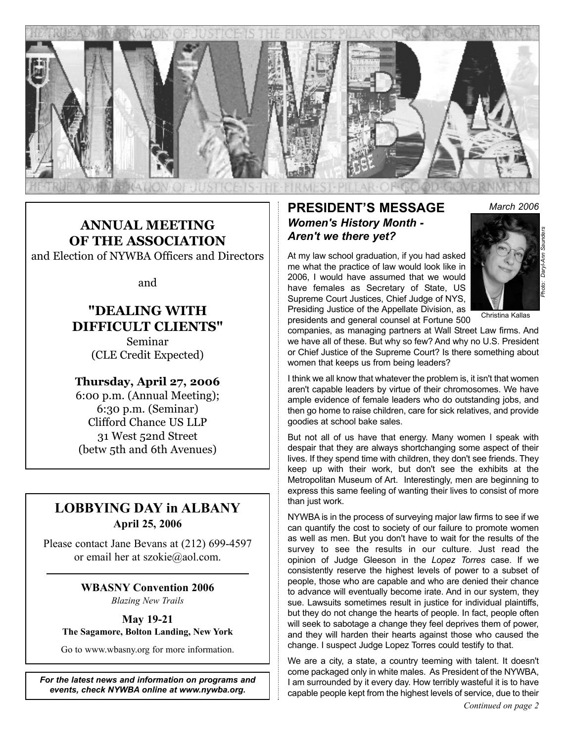

## **ANNUAL MEETING OF THE ASSOCIATION**

and Election of NYWBA Officers and Directors

and

### **"DEALING WITH DIFFICULT CLIENTS"** Seminar

(CLE Credit Expected)

### **Thursday, April 27, 2006**

6:00 p.m. (Annual Meeting); 6:30 p.m. (Seminar) Clifford Chance US LLP 31 West 52nd Street (betw 5th and 6th Avenues)

### **LOBBYING DAY in ALBANY April 25, 2006**

Please contact Jane Bevans at (212) 699-4597 or email her at szokie@aol.com.

## **WBASNY Convention 2006**

*Blazing New Trails*

### **May 19-21**

**The Sagamore, Bolton Landing, New York**

Go to www.wbasny.org for more information.

*For the latest news and information on programs and events, check NYWBA online at www.nywba.org.*

### **PRESIDENT'S MESSAGE** *March 2006 Women's History Month - Aren't we there yet?*

At my law school graduation, if you had asked me what the practice of law would look like in 2006, I would have assumed that we would have females as Secretary of State, US Supreme Court Justices, Chief Judge of NYS, Presiding Justice of the Appellate Division, as presidents and general counsel at Fortune 500



Christina Kallas

companies, as managing partners at Wall Street Law firms. And we have all of these. But why so few? And why no U.S. President or Chief Justice of the Supreme Court? Is there something about women that keeps us from being leaders?

I think we all know that whatever the problem is, it isn't that women aren't capable leaders by virtue of their chromosomes. We have ample evidence of female leaders who do outstanding jobs, and then go home to raise children, care for sick relatives, and provide goodies at school bake sales.

But not all of us have that energy. Many women I speak with despair that they are always shortchanging some aspect of their lives. If they spend time with children, they don't see friends. They keep up with their work, but don't see the exhibits at the Metropolitan Museum of Art. Interestingly, men are beginning to express this same feeling of wanting their lives to consist of more than just work.

NYWBA is in the process of surveying major law firms to see if we can quantify the cost to society of our failure to promote women as well as men. But you don't have to wait for the results of the survey to see the results in our culture. Just read the opinion of Judge Gleeson in the *Lopez Torres* case. If we consistently reserve the highest levels of power to a subset of people, those who are capable and who are denied their chance to advance will eventually become irate. And in our system, they sue. Lawsuits sometimes result in justice for individual plaintiffs, but they do not change the hearts of people. In fact, people often will seek to sabotage a change they feel deprives them of power, and they will harden their hearts against those who caused the change. I suspect Judge Lopez Torres could testify to that.

We are a city, a state, a country teeming with talent. It doesn't come packaged only in white males. As President of the NYWBA, I am surrounded by it every day. How terribly wasteful it is to have capable people kept from the highest levels of service, due to their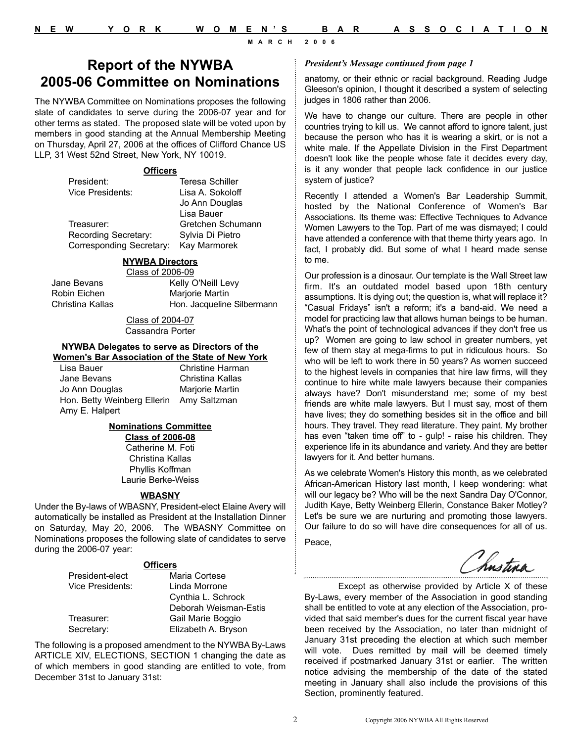### **Report of the NYWBA 2005-06 Committee on Nominations**

The NYWBA Committee on Nominations proposes the following slate of candidates to serve during the 2006-07 year and for other terms as stated. The proposed slate will be voted upon by members in good standing at the Annual Membership Meeting on Thursday, April 27, 2006 at the offices of Clifford Chance US LLP, 31 West 52nd Street, New York, NY 10019.

#### **Officers**

| President:                      | Teresa Schiller   |
|---------------------------------|-------------------|
| Vice Presidents:                | Lisa A. Sokoloff  |
|                                 | Jo Ann Douglas    |
|                                 | Lisa Bauer        |
| Treasurer:                      | Gretchen Schumann |
| Recording Secretary:            | Sylvia Di Pietro  |
| <b>Corresponding Secretary:</b> | Kay Marmorek      |

### **NYWBA Directors**

Class of 2006-09 Jane Bevans Kelly O'Neill Levy Robin Eichen Marjorie Martin Christina Kallas Hon. Jacqueline Silbermann

> Class of 2004-07 Cassandra Porter

#### **NYWBA Delegates to serve as Directors of the Women's Bar Association of the State of New York**

| Lisa Bauer                               | <b>Christine Harman</b> |
|------------------------------------------|-------------------------|
| Jane Bevans                              | Christina Kallas        |
| Jo Ann Douglas                           | Marjorie Martin         |
| Hon. Betty Weinberg Ellerin Amy Saltzman |                         |
| Amy E. Halpert                           |                         |

### **Nominations Committee**

**Class of 2006-08** Catherine M. Foti Christina Kallas Phyllis Koffman Laurie Berke-Weiss

#### **WBASNY**

Under the By-laws of WBASNY, President-elect Elaine Avery will automatically be installed as President at the Installation Dinner on Saturday, May 20, 2006. The WBASNY Committee on Nominations proposes the following slate of candidates to serve during the 2006-07 year:

#### **Officers**

| President-elect  | Maria Cortese         |
|------------------|-----------------------|
| Vice Presidents: | Linda Morrone         |
|                  | Cynthia L. Schrock    |
|                  | Deborah Weisman-Estis |
| Treasurer:       | Gail Marie Boggio     |
| Secretary:       | Elizabeth A. Bryson   |

The following is a proposed amendment to the NYWBA By-Laws ARTICLE XIV, ELECTIONS, SECTION 1 changing the date as of which members in good standing are entitled to vote, from December 31st to January 31st:

#### *President's Message continued from page 1*

anatomy, or their ethnic or racial background. Reading Judge Gleeson's opinion, I thought it described a system of selecting judges in 1806 rather than 2006.

We have to change our culture. There are people in other countries trying to kill us. We cannot afford to ignore talent, just because the person who has it is wearing a skirt, or is not a white male. If the Appellate Division in the First Department doesn't look like the people whose fate it decides every day, is it any wonder that people lack confidence in our justice system of justice?

Recently I attended a Women's Bar Leadership Summit, hosted by the National Conference of Women's Bar Associations. Its theme was: Effective Techniques to Advance Women Lawyers to the Top. Part of me was dismayed; I could have attended a conference with that theme thirty years ago. In fact, I probably did. But some of what I heard made sense to me.

Our profession is a dinosaur. Our template is the Wall Street law firm. It's an outdated model based upon 18th century assumptions. It is dying out; the question is, what will replace it? "Casual Fridays" isn't a reform; it's a band-aid. We need a model for practicing law that allows human beings to be human. What's the point of technological advances if they don't free us up? Women are going to law school in greater numbers, yet few of them stay at mega-firms to put in ridiculous hours. So who will be left to work there in 50 years? As women succeed to the highest levels in companies that hire law firms, will they continue to hire white male lawyers because their companies always have? Don't misunderstand me; some of my best friends are white male lawyers. But I must say, most of them have lives; they do something besides sit in the office and bill hours. They travel. They read literature. They paint. My brother has even "taken time off" to - gulp! - raise his children. They experience life in its abundance and variety. And they are better lawyers for it. And better humans.

As we celebrate Women's History this month, as we celebrated African-American History last month, I keep wondering: what will our legacy be? Who will be the next Sandra Day O'Connor, Judith Kaye, Betty Weinberg Ellerin, Constance Baker Motley? Let's be sure we are nurturing and promoting those lawyers. Our failure to do so will have dire consequences for all of us.

Peace,

Instina

Except as otherwise provided by Article X of these By-Laws, every member of the Association in good standing shall be entitled to vote at any election of the Association, provided that said member's dues for the current fiscal year have been received by the Association, no later than midnight of January 31st preceding the election at which such member will vote. Dues remitted by mail will be deemed timely received if postmarked January 31st or earlier. The written notice advising the membership of the date of the stated meeting in January shall also include the provisions of this Section, prominently featured.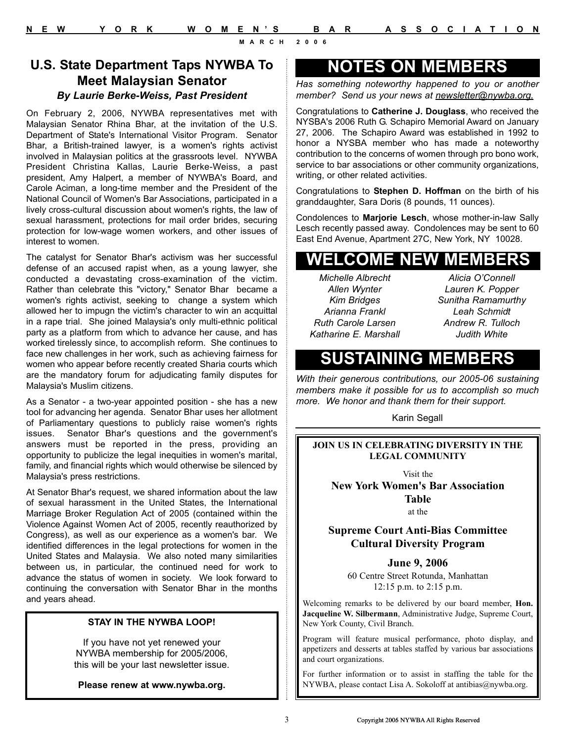### **U.S. State Department Taps NYWBA To Meet Malaysian Senator** *By Laurie Berke-Weiss, Past President*

On February 2, 2006, NYWBA representatives met with Malaysian Senator Rhina Bhar, at the invitation of the U.S. Department of State's International Visitor Program. Senator Bhar, a British-trained lawyer, is a women's rights activist involved in Malaysian politics at the grassroots level. NYWBA President Christina Kallas, Laurie Berke-Weiss, a past president, Amy Halpert, a member of NYWBA's Board, and Carole Aciman, a long-time member and the President of the National Council of Women's Bar Associations, participated in a lively cross-cultural discussion about women's rights, the law of sexual harassment, protections for mail order brides, securing protection for low-wage women workers, and other issues of interest to women.

The catalyst for Senator Bhar's activism was her successful defense of an accused rapist when, as a young lawyer, she conducted a devastating cross-examination of the victim. Rather than celebrate this "victory," Senator Bhar became a women's rights activist, seeking to change a system which allowed her to impugn the victim's character to win an acquittal in a rape trial. She joined Malaysia's only multi-ethnic political party as a platform from which to advance her cause, and has worked tirelessly since, to accomplish reform. She continues to face new challenges in her work, such as achieving fairness for women who appear before recently created Sharia courts which are the mandatory forum for adjudicating family disputes for Malaysia's Muslim citizens.

As a Senator - a two-year appointed position - she has a new tool for advancing her agenda. Senator Bhar uses her allotment of Parliamentary questions to publicly raise women's rights issues. Senator Bhar's questions and the government's answers must be reported in the press, providing an opportunity to publicize the legal inequities in women's marital, family, and financial rights which would otherwise be silenced by Malaysia's press restrictions.

At Senator Bhar's request, we shared information about the law of sexual harassment in the United States, the International Marriage Broker Regulation Act of 2005 (contained within the Violence Against Women Act of 2005, recently reauthorized by Congress), as well as our experience as a women's bar. We identified differences in the legal protections for women in the United States and Malaysia. We also noted many similarities between us, in particular, the continued need for work to advance the status of women in society. We look forward to continuing the conversation with Senator Bhar in the months and years ahead.

### **STAY IN THE NYWBA LOOP!**

If you have not yet renewed your NYWBA membership for 2005/2006, this will be your last newsletter issue.

**Please renew at www.nywba.org.**

## **NOTES ON MEMBERS**

*Has something noteworthy happened to you or another member? Send us your news at newsletter@nywba.org.*

Congratulations to **Catherine J. Douglass**, who received the NYSBA's 2006 Ruth G. Schapiro Memorial Award on January 27, 2006. The Schapiro Award was established in 1992 to honor a NYSBA member who has made a noteworthy contribution to the concerns of women through pro bono work, service to bar associations or other community organizations, writing, or other related activities.

Congratulations to **Stephen D. Hoffman** on the birth of his granddaughter, Sara Doris (8 pounds, 11 ounces).

Condolences to **Marjorie Lesch**, whose mother-in-law Sally Lesch recently passed away. Condolences may be sent to 60 East End Avenue, Apartment 27C, New York, NY 10028.

## **WELCOME NEW MEMBERS**

*Michelle Albrecht Allen Wynter Kim Bridges Arianna Frankl Ruth Carole Larsen Katharine E. Marshall*

*Alicia O'Connell Lauren K. Popper Sunitha Ramamurthy Leah Schmidt Andrew R. Tulloch Judith White*

## **SUSTAINING MEMBERS**

*With their generous contributions, our 2005-06 sustaining members make it possible for us to accomplish so much more. We honor and thank them for their support.*

Karin Segall

### **JOIN US IN CELEBRATING DIVERSITY IN THE LEGAL COMMUNITY**

Visit the

**New York Women's Bar Association Table**

at the

### **Supreme Court Anti-Bias Committee Cultural Diversity Program**

**June 9, 2006**

60 Centre Street Rotunda, Manhattan 12:15 p.m. to 2:15 p.m.

Welcoming remarks to be delivered by our board member, **Hon. Jacqueline W. Silbermann**, Administrative Judge, Supreme Court, New York County, Civil Branch.

Program will feature musical performance, photo display, and appetizers and desserts at tables staffed by various bar associations and court organizations.

For further information or to assist in staffing the table for the NYWBA, please contact Lisa A. Sokoloff at antibias@nywba.org.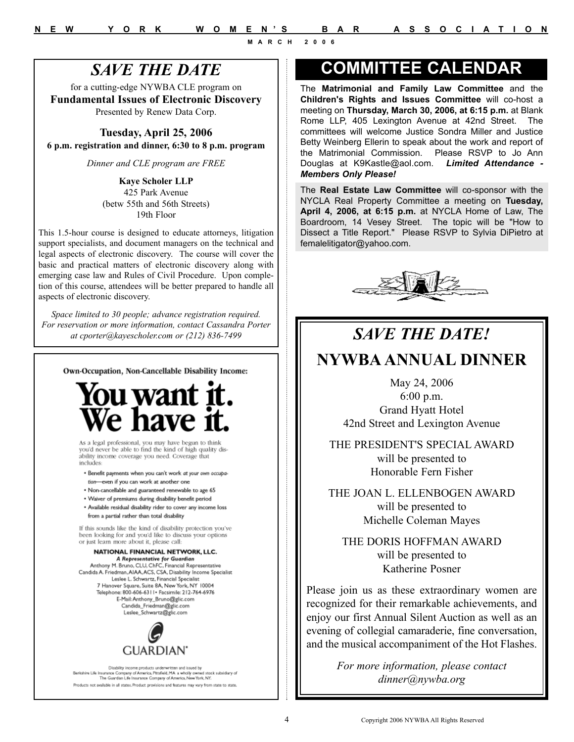## *SAVE THE DATE*

for a cutting-edge NYWBA CLE program on **Fundamental Issues of Electronic Discovery** Presented by Renew Data Corp.

**Tuesday, April 25, 2006 6 p.m. registration and dinner, 6:30 to 8 p.m. program**

*Dinner and CLE program are FREE*

**Kaye Scholer LLP** 425 Park Avenue (betw 55th and 56th Streets) 19th Floor

This 1.5-hour course is designed to educate attorneys, litigation support specialists, and document managers on the technical and legal aspects of electronic discovery. The course will cover the basic and practical matters of electronic discovery along with emerging case law and Rules of Civil Procedure. Upon completion of this course, attendees will be better prepared to handle all aspects of electronic discovery.

*Space limited to 30 people; advance registration required. For reservation or more information, contact Cassandra Porter at cporter@kayescholer.com or (212) 836-7499*

Own-Occupation, Non-Cancellable Disability Income:



As a legal professional, you may have begun to think you'd never be able to find the kind of high quality disability income coverage you need. Coverage that  $include$ s:

· Benefit payments when you can't work at your own occupation-even if you can work at another one

- · Non-cancellable and guaranteed renewable to age 65
- Waiver of premiums during disability benefit period
- . Available residual disability rider to cover any income loss from a partial rather than total disability

If this sounds like the kind of disability protection you've been looking for and you'd like to discuss your options or just learn more about it, please call:

#### NATIONAL FINANCIAL NETWORK, LLC. A Representative for Guardian

Anthony M. Bruno, CLU, ChFC, Financial Representative<br>Candida A. Friedman, AIAA, ACS, CSA, Disability Income Specialist Leslee L. Schwartz, Financial Specialist 7 Hanover Square, Suite 8A, New York, NY 10004<br>Telephone: 800-606-6311 - Facsimile: 212-764-6976 E-Mail: Anthony\_Bruno@glic.com Candida\_Friedman@glic.com Leslee Schwartz@glic.com



Disability income products underwritten and issued by<br>Barkahira Lifa Insurance Company of America, Pitchfald, MA a wholly emmed stock subsidiary of<br>The Guardian Life Imurance Company of America, New York, NY. Products not available in all states. Product provisions and features may vary from state to state.

# **COMMITTEE CALENDAR**

The **Matrimonial and Family Law Committee** and the **Children's Rights and Issues Committee** will co-host a meeting on **Thursday, March 30, 2006, at 6:15 p.m.** at Blank Rome LLP, 405 Lexington Avenue at 42nd Street. The committees will welcome Justice Sondra Miller and Justice Betty Weinberg Ellerin to speak about the work and report of the Matrimonial Commission. Please RSVP to Jo Ann Douglas at K9Kastle@aol.com. *Limited Attendance - Members Only Please!*

The **Real Estate Law Committee** will co-sponsor with the NYCLA Real Property Committee a meeting on **Tuesday, April 4, 2006, at 6:15 p.m.** at NYCLA Home of Law, The Boardroom, 14 Vesey Street. The topic will be "How to Dissect a Title Report." Please RSVP to Sylvia DiPietro at femalelitigator@yahoo.com.



# *SAVE THE DATE!* **NYWBA ANNUAL DINNER**

May 24, 2006 6:00 p.m. Grand Hyatt Hotel 42nd Street and Lexington Avenue

THE PRESIDENT'S SPECIAL AWARD will be presented to Honorable Fern Fisher

THE JOAN L. ELLENBOGEN AWARD will be presented to Michelle Coleman Mayes

THE DORIS HOFFMAN AWARD will be presented to Katherine Posner

Please join us as these extraordinary women are recognized for their remarkable achievements, and enjoy our first Annual Silent Auction as well as an evening of collegial camaraderie, fine conversation, and the musical accompaniment of the Hot Flashes.

> *For more information, please contact dinner@nywba.org*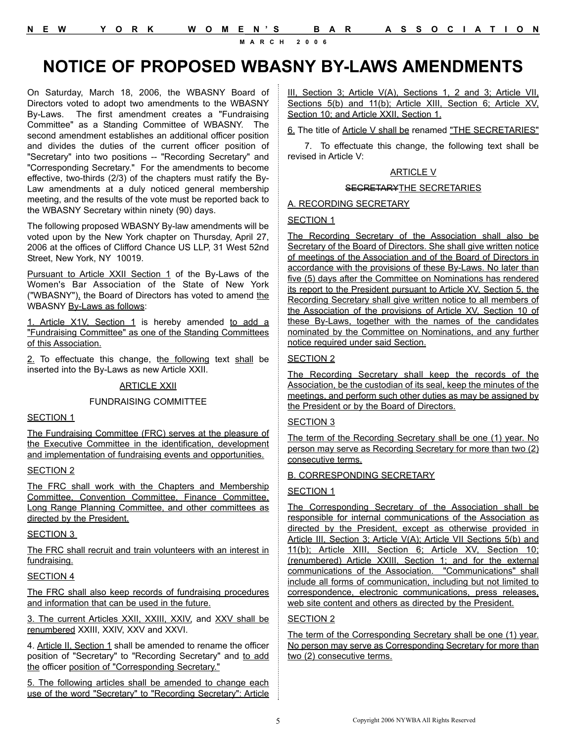# **NOTICE OF PROPOSED WBASNY BY-LAWS AMENDMENTS**

On Saturday, March 18, 2006, the WBASNY Board of Directors voted to adopt two amendments to the WBASNY By-Laws. The first amendment creates a "Fundraising Committee" as a Standing Committee of WBASNY. The second amendment establishes an additional officer position and divides the duties of the current officer position of "Secretary" into two positions -- "Recording Secretary" and "Corresponding Secretary." For the amendments to become effective, two-thirds (2/3) of the chapters must ratify the By-Law amendments at a duly noticed general membership meeting, and the results of the vote must be reported back to the WBASNY Secretary within ninety (90) days.

The following proposed WBASNY By-law amendments will be voted upon by the New York chapter on Thursday, April 27, 2006 at the offices of Clifford Chance US LLP, 31 West 52nd Street, New York, NY 10019.

Pursuant to Article XXII Section 1 of the By-Laws of the Women's Bar Association of the State of New York ("WBASNY"), the Board of Directors has voted to amend the WBASNY By-Laws as follows:

1. Article X1V, Section 1 is hereby amended to add a "Fundraising Committee" as one of the Standing Committees of this Association.

2. To effectuate this change, the following text shall be inserted into the By-Laws as new Article XXII.

### ARTICLE XXII

### FUNDRAISING COMMITTEE

### SECTION 1

The Fundraising Committee (FRC) serves at the pleasure of the Executive Committee in the identification, development and implementation of fundraising events and opportunities.

### SECTION 2

The FRC shall work with the Chapters and Membership Committee, Convention Committee, Finance Committee, Long Range Planning Committee, and other committees as directed by the President.

### SECTION 3

The FRC shall recruit and train volunteers with an interest in fundraising.

### SECTION 4

The FRC shall also keep records of fundraising procedures and information that can be used in the future.

3. The current Articles XXII, XXIII, XXIV, and XXV shall be renumbered XXIII, XXIV, XXV and XXVI.

4. Article II, Section 1 shall be amended to rename the officer position of "Secretary" to "Recording Secretary" and to add the officer position of "Corresponding Secretary."

5. The following articles shall be amended to change each use of the word "Secretary" to "Recording Secretary": Article III, Section 3; Article V(A), Sections 1, 2 and 3; Article VII, Sections 5(b) and 11(b); Article XIII, Section 6; Article XV, Section 10; and Article XXII, Section 1.

6. The title of Article V shall be renamed "THE SECRETARIES"

7. To effectuate this change, the following text shall be revised in Article V:

### ARTICLE V

### SECRETARYTHE SECRETARIES

A. RECORDING SECRETARY

### SECTION 1

The Recording Secretary of the Association shall also be Secretary of the Board of Directors. She shall give written notice of meetings of the Association and of the Board of Directors in accordance with the provisions of these By-Laws. No later than five (5) days after the Committee on Nominations has rendered its report to the President pursuant to Article XV, Section 5, the Recording Secretary shall give written notice to all members of the Association of the provisions of Article XV, Section 10 of these By-Laws, together with the names of the candidates nominated by the Committee on Nominations, and any further notice required under said Section.

### SECTION 2

The Recording Secretary shall keep the records of the Association, be the custodian of its seal, keep the minutes of the meetings, and perform such other duties as may be assigned by the President or by the Board of Directors.

### SECTION 3

The term of the Recording Secretary shall be one (1) year. No person may serve as Recording Secretary for more than two (2) consecutive terms.

### B. CORRESPONDING SECRETARY

### SECTION 1

The Corresponding Secretary of the Association shall be responsible for internal communications of the Association as directed by the President, except as otherwise provided in Article III, Section 3; Article V(A); Article VII Sections 5(b) and 11(b); Article XIII, Section 6; Article XV, Section 10; (renumbered) Article XXIII, Section 1; and for the external communications of the Association. "Communications" shall include all forms of communication, including but not limited to correspondence, electronic communications, press releases, web site content and others as directed by the President.

### SECTION 2

The term of the Corresponding Secretary shall be one (1) year. No person may serve as Corresponding Secretary for more than two (2) consecutive terms.